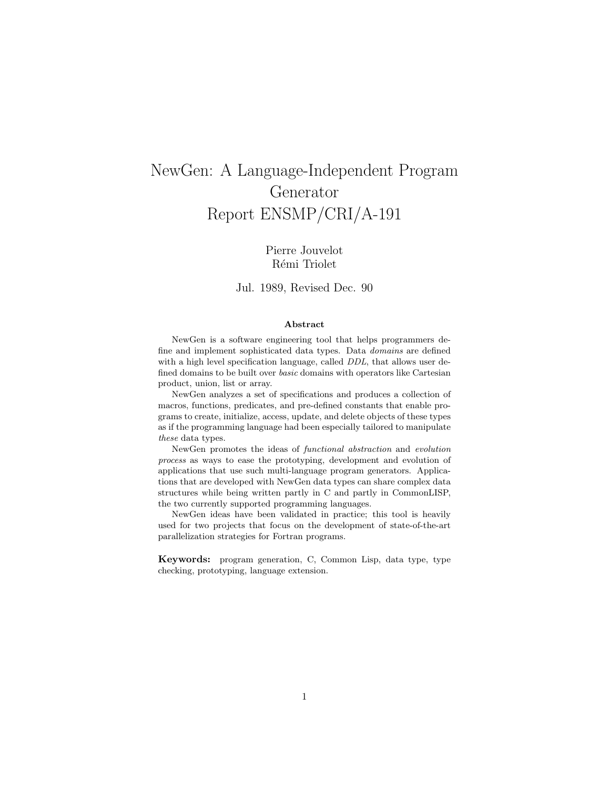# NewGen: A Language-Independent Program Generator Report ENSMP/CRI/A-191

## Pierre Jouvelot Rémi Triolet

### Jul. 1989, Revised Dec. 90

#### Abstract

NewGen is a software engineering tool that helps programmers define and implement sophisticated data types. Data domains are defined with a high level specification language, called DDL, that allows user defined domains to be built over basic domains with operators like Cartesian product, union, list or array.

NewGen analyzes a set of specifications and produces a collection of macros, functions, predicates, and pre-defined constants that enable programs to create, initialize, access, update, and delete objects of these types as if the programming language had been especially tailored to manipulate these data types.

NewGen promotes the ideas of functional abstraction and evolution process as ways to ease the prototyping, development and evolution of applications that use such multi-language program generators. Applications that are developed with NewGen data types can share complex data structures while being written partly in C and partly in CommonLISP, the two currently supported programming languages.

NewGen ideas have been validated in practice; this tool is heavily used for two projects that focus on the development of state-of-the-art parallelization strategies for Fortran programs.

Keywords: program generation, C, Common Lisp, data type, type checking, prototyping, language extension.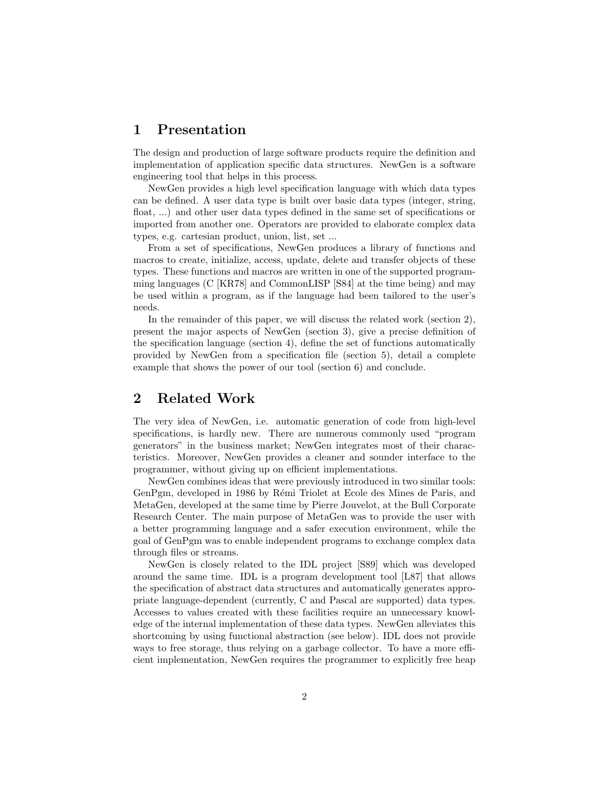## 1 Presentation

The design and production of large software products require the definition and implementation of application specific data structures. NewGen is a software engineering tool that helps in this process.

NewGen provides a high level specification language with which data types can be defined. A user data type is built over basic data types (integer, string, float, ...) and other user data types defined in the same set of specifications or imported from another one. Operators are provided to elaborate complex data types, e.g. cartesian product, union, list, set ...

From a set of specifications, NewGen produces a library of functions and macros to create, initialize, access, update, delete and transfer objects of these types. These functions and macros are written in one of the supported programming languages (C [KR78] and CommonLISP [S84] at the time being) and may be used within a program, as if the language had been tailored to the user's needs.

In the remainder of this paper, we will discuss the related work (section 2), present the major aspects of NewGen (section 3), give a precise definition of the specification language (section 4), define the set of functions automatically provided by NewGen from a specification file (section 5), detail a complete example that shows the power of our tool (section 6) and conclude.

## 2 Related Work

The very idea of NewGen, i.e. automatic generation of code from high-level specifications, is hardly new. There are numerous commonly used "program generators" in the business market; NewGen integrates most of their characteristics. Moreover, NewGen provides a cleaner and sounder interface to the programmer, without giving up on efficient implementations.

NewGen combines ideas that were previously introduced in two similar tools: GenPgm, developed in 1986 by Rémi Triolet at Ecole des Mines de Paris, and MetaGen, developed at the same time by Pierre Jouvelot, at the Bull Corporate Research Center. The main purpose of MetaGen was to provide the user with a better programming language and a safer execution environment, while the goal of GenPgm was to enable independent programs to exchange complex data through files or streams.

NewGen is closely related to the IDL project [S89] which was developed around the same time. IDL is a program development tool [L87] that allows the specification of abstract data structures and automatically generates appropriate language-dependent (currently, C and Pascal are supported) data types. Accesses to values created with these facilities require an unnecessary knowledge of the internal implementation of these data types. NewGen alleviates this shortcoming by using functional abstraction (see below). IDL does not provide ways to free storage, thus relying on a garbage collector. To have a more efficient implementation, NewGen requires the programmer to explicitly free heap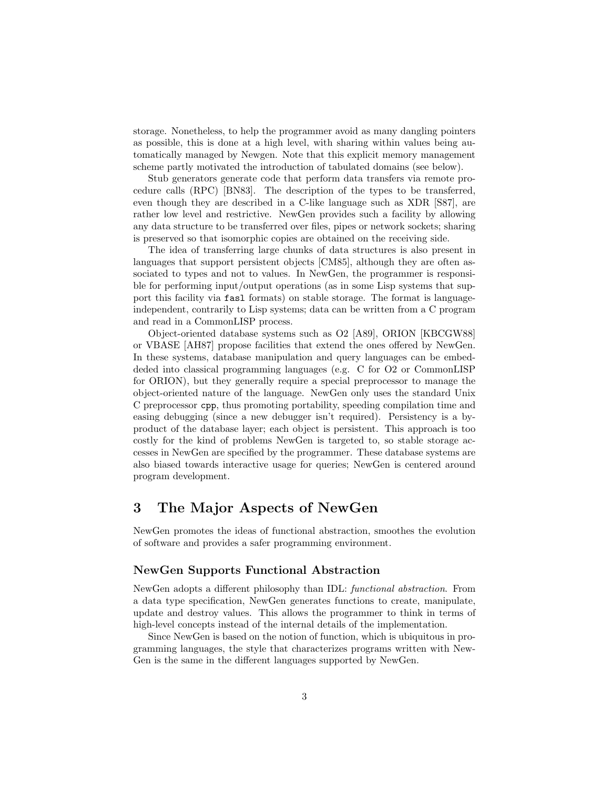storage. Nonetheless, to help the programmer avoid as many dangling pointers as possible, this is done at a high level, with sharing within values being automatically managed by Newgen. Note that this explicit memory management scheme partly motivated the introduction of tabulated domains (see below).

Stub generators generate code that perform data transfers via remote procedure calls (RPC) [BN83]. The description of the types to be transferred, even though they are described in a C-like language such as XDR [S87], are rather low level and restrictive. NewGen provides such a facility by allowing any data structure to be transferred over files, pipes or network sockets; sharing is preserved so that isomorphic copies are obtained on the receiving side.

The idea of transferring large chunks of data structures is also present in languages that support persistent objects [CM85], although they are often associated to types and not to values. In NewGen, the programmer is responsible for performing input/output operations (as in some Lisp systems that support this facility via fasl formats) on stable storage. The format is languageindependent, contrarily to Lisp systems; data can be written from a C program and read in a CommonLISP process.

Object-oriented database systems such as O2 [A89], ORION [KBCGW88] or VBASE [AH87] propose facilities that extend the ones offered by NewGen. In these systems, database manipulation and query languages can be embeddeded into classical programming languages (e.g. C for O2 or CommonLISP for ORION), but they generally require a special preprocessor to manage the object-oriented nature of the language. NewGen only uses the standard Unix C preprocessor cpp, thus promoting portability, speeding compilation time and easing debugging (since a new debugger isn't required). Persistency is a byproduct of the database layer; each object is persistent. This approach is too costly for the kind of problems NewGen is targeted to, so stable storage accesses in NewGen are specified by the programmer. These database systems are also biased towards interactive usage for queries; NewGen is centered around program development.

## 3 The Major Aspects of NewGen

NewGen promotes the ideas of functional abstraction, smoothes the evolution of software and provides a safer programming environment.

### NewGen Supports Functional Abstraction

NewGen adopts a different philosophy than IDL: functional abstraction. From a data type specification, NewGen generates functions to create, manipulate, update and destroy values. This allows the programmer to think in terms of high-level concepts instead of the internal details of the implementation.

Since NewGen is based on the notion of function, which is ubiquitous in programming languages, the style that characterizes programs written with New-Gen is the same in the different languages supported by NewGen.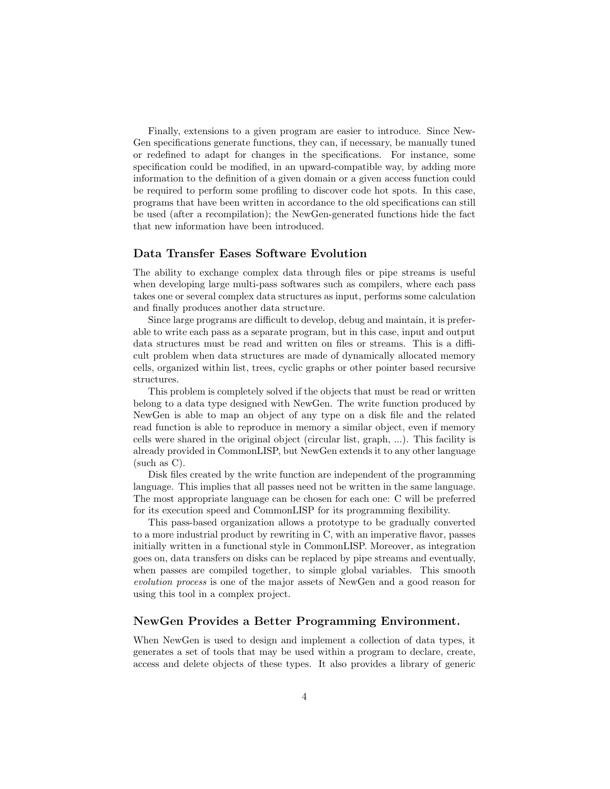Finally, extensions to a given program are easier to introduce. Since New-Gen specifications generate functions, they can, if necessary, be manually tuned or redefined to adapt for changes in the specifications. For instance, some specification could be modified, in an upward-compatible way, by adding more information to the definition of a given domain or a given access function could be required to perform some profiling to discover code hot spots. In this case, programs that have been written in accordance to the old specifications can still be used (after a recompilation); the NewGen-generated functions hide the fact that new information have been introduced.

### Data Transfer Eases Software Evolution

The ability to exchange complex data through files or pipe streams is useful when developing large multi-pass softwares such as compilers, where each pass takes one or several complex data structures as input, performs some calculation and finally produces another data structure.

Since large programs are difficult to develop, debug and maintain, it is preferable to write each pass as a separate program, but in this case, input and output data structures must be read and written on files or streams. This is a difficult problem when data structures are made of dynamically allocated memory cells, organized within list, trees, cyclic graphs or other pointer based recursive structures.

This problem is completely solved if the objects that must be read or written belong to a data type designed with NewGen. The write function produced by NewGen is able to map an object of any type on a disk file and the related read function is able to reproduce in memory a similar object, even if memory cells were shared in the original object (circular list, graph, ...). This facility is already provided in CommonLISP, but NewGen extends it to any other language (such as C).

Disk files created by the write function are independent of the programming language. This implies that all passes need not be written in the same language. The most appropriate language can be chosen for each one: C will be preferred for its execution speed and CommonLISP for its programming flexibility.

This pass-based organization allows a prototype to be gradually converted to a more industrial product by rewriting in C, with an imperative flavor, passes initially written in a functional style in CommonLISP. Moreover, as integration goes on, data transfers on disks can be replaced by pipe streams and eventually, when passes are compiled together, to simple global variables. This smooth evolution process is one of the major assets of NewGen and a good reason for using this tool in a complex project.

### NewGen Provides a Better Programming Environment.

When NewGen is used to design and implement a collection of data types, it generates a set of tools that may be used within a program to declare, create, access and delete objects of these types. It also provides a library of generic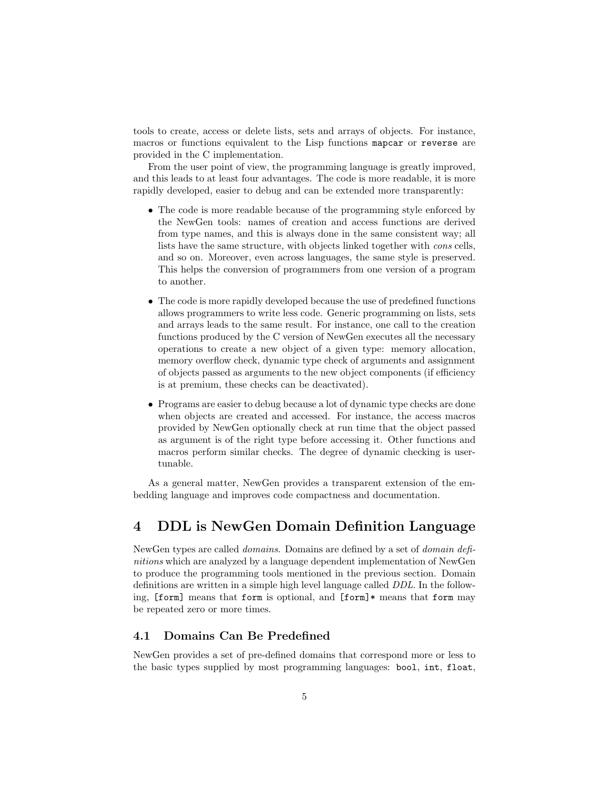tools to create, access or delete lists, sets and arrays of objects. For instance, macros or functions equivalent to the Lisp functions mapcar or reverse are provided in the C implementation.

From the user point of view, the programming language is greatly improved, and this leads to at least four advantages. The code is more readable, it is more rapidly developed, easier to debug and can be extended more transparently:

- The code is more readable because of the programming style enforced by the NewGen tools: names of creation and access functions are derived from type names, and this is always done in the same consistent way; all lists have the same structure, with objects linked together with cons cells, and so on. Moreover, even across languages, the same style is preserved. This helps the conversion of programmers from one version of a program to another.
- The code is more rapidly developed because the use of predefined functions allows programmers to write less code. Generic programming on lists, sets and arrays leads to the same result. For instance, one call to the creation functions produced by the C version of NewGen executes all the necessary operations to create a new object of a given type: memory allocation, memory overflow check, dynamic type check of arguments and assignment of objects passed as arguments to the new object components (if efficiency is at premium, these checks can be deactivated).
- Programs are easier to debug because a lot of dynamic type checks are done when objects are created and accessed. For instance, the access macros provided by NewGen optionally check at run time that the object passed as argument is of the right type before accessing it. Other functions and macros perform similar checks. The degree of dynamic checking is usertunable.

As a general matter, NewGen provides a transparent extension of the embedding language and improves code compactness and documentation.

## 4 DDL is NewGen Domain Definition Language

NewGen types are called domains. Domains are defined by a set of domain definitions which are analyzed by a language dependent implementation of NewGen to produce the programming tools mentioned in the previous section. Domain definitions are written in a simple high level language called DDL. In the following, [form] means that form is optional, and [form]\* means that form may be repeated zero or more times.

## 4.1 Domains Can Be Predefined

NewGen provides a set of pre-defined domains that correspond more or less to the basic types supplied by most programming languages: bool, int, float,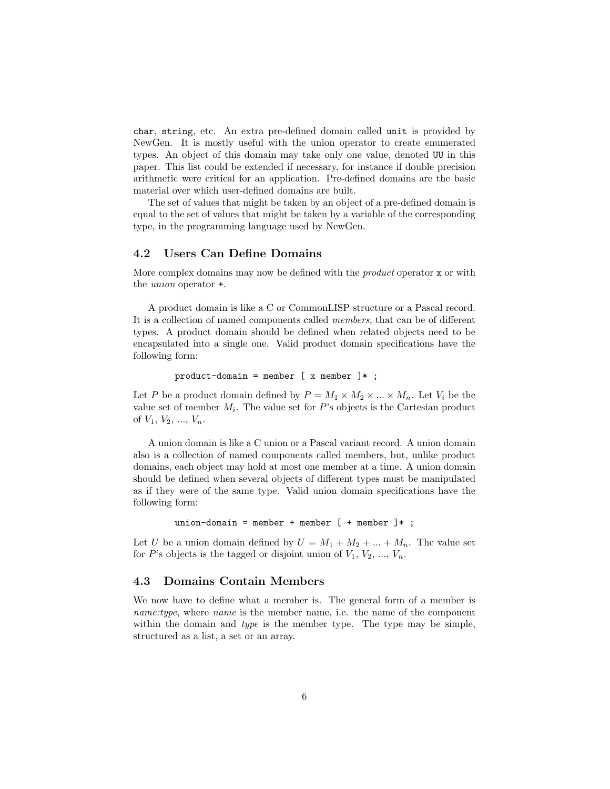char, string, etc. An extra pre-defined domain called unit is provided by NewGen. It is mostly useful with the union operator to create enumerated types. An object of this domain may take only one value, denoted UU in this paper. This list could be extended if necessary, for instance if double precision arithmetic were critical for an application. Pre-defined domains are the basic material over which user-defined domains are built.

The set of values that might be taken by an object of a pre-defined domain is equal to the set of values that might be taken by a variable of the corresponding type, in the programming language used by NewGen.

### 4.2 Users Can Define Domains

More complex domains may now be defined with the *product* operator x or with the union operator +.

A product domain is like a C or CommonLISP structure or a Pascal record. It is a collection of named components called members, that can be of different types. A product domain should be defined when related objects need to be encapsulated into a single one. Valid product domain specifications have the following form:

```
product-domain = member [x member ]*;
```
Let P be a product domain defined by  $P = M_1 \times M_2 \times ... \times M_n$ . Let  $V_i$  be the value set of member  $M_i$ . The value set for  $P$ 's objects is the Cartesian product of  $V_1, V_2, ..., V_n$ .

A union domain is like a C union or a Pascal variant record. A union domain also is a collection of named components called members, but, unlike product domains, each object may hold at most one member at a time. A union domain should be defined when several objects of different types must be manipulated as if they were of the same type. Valid union domain specifications have the following form:

union-domain = member + member  $[$  + member  $]*$ ;

Let U be a union domain defined by  $U = M_1 + M_2 + ... + M_n$ . The value set for P's objects is the tagged or disjoint union of  $V_1, V_2, ..., V_n$ .

## 4.3 Domains Contain Members

We now have to define what a member is. The general form of a member is name:type, where name is the member name, i.e. the name of the component within the domain and *type* is the member type. The type may be simple, structured as a list, a set or an array.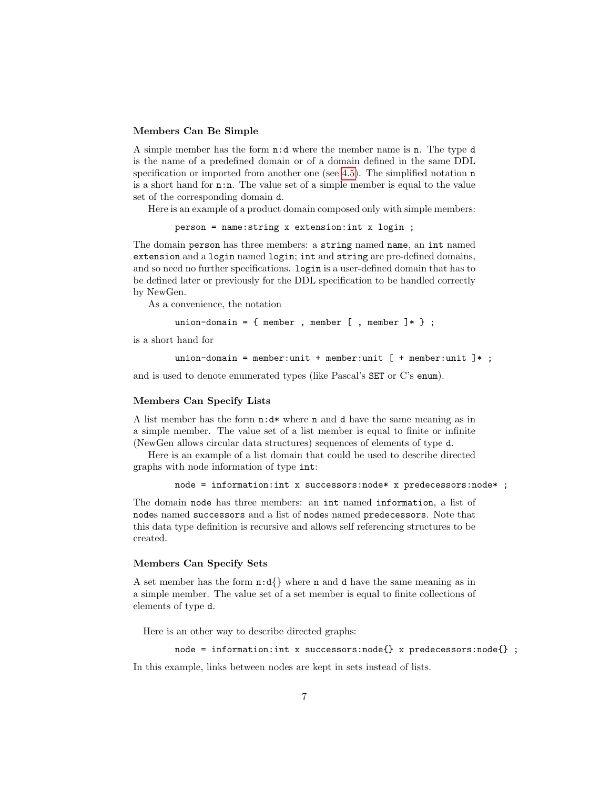#### Members Can Be Simple

A simple member has the form n:d where the member name is n. The type d is the name of a predefined domain or of a domain defined in the same DDL specification or imported from another one (see [4.5\)](#page-8-0). The simplified notation n is a short hand for n:n. The value set of a simple member is equal to the value set of the corresponding domain d.

Here is an example of a product domain composed only with simple members:

person = name:string x extension:int x login ;

The domain person has three members: a string named name, an int named extension and a login named login; int and string are pre-defined domains, and so need no further specifications. login is a user-defined domain that has to be defined later or previously for the DDL specification to be handled correctly by NewGen.

As a convenience, the notation

union-domain = { member , member  $[$  , member  $]$  \*  $}$  ;

is a short hand for

```
union-domain = member:unit + member:unit [ + member:unit ]*;
```
and is used to denote enumerated types (like Pascal's SET or C's enum).

#### Members Can Specify Lists

A list member has the form n:d\* where n and d have the same meaning as in a simple member. The value set of a list member is equal to finite or infinite (NewGen allows circular data structures) sequences of elements of type d.

Here is an example of a list domain that could be used to describe directed graphs with node information of type int:

```
node = information:int x successors:node* x predecessors:node* ;
```
The domain node has three members: an int named information, a list of nodes named successors and a list of nodes named predecessors. Note that this data type definition is recursive and allows self referencing structures to be created.

### Members Can Specify Sets

A set member has the form  $\mathbf{n}:\mathbf{d} \setminus \mathbf{R}$  where **n** and **d** have the same meaning as in a simple member. The value set of a set member is equal to finite collections of elements of type d.

Here is an other way to describe directed graphs:

```
node = information:int x successors:node{} x predecessors:node{} ;
```
In this example, links between nodes are kept in sets instead of lists.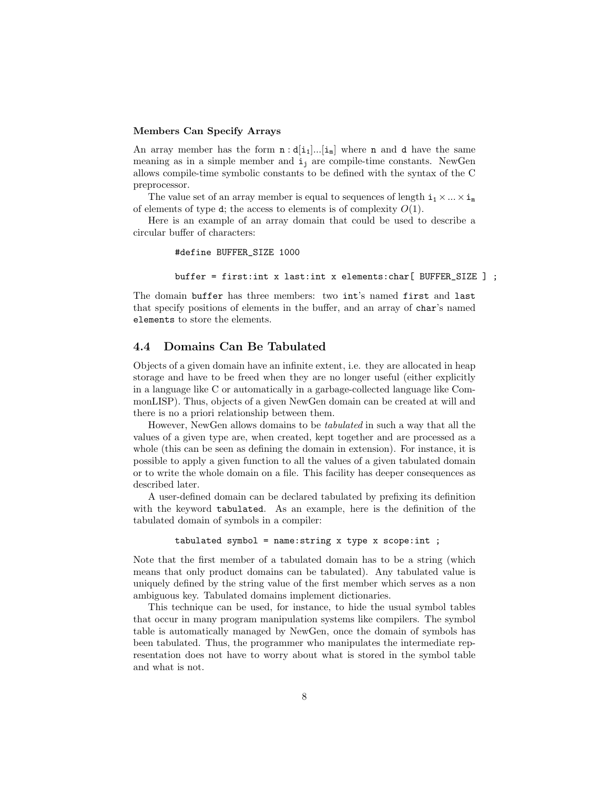#### Members Can Specify Arrays

An array member has the form  $\mathbf{n} : d[\mathbf{i}_1] \dots [\mathbf{i}_m]$  where **n** and **d** have the same meaning as in a simple member and  $i_i$  are compile-time constants. NewGen allows compile-time symbolic constants to be defined with the syntax of the C preprocessor.

The value set of an array member is equal to sequences of length  $i_1 \times ... \times i_m$ of elements of type d; the access to elements is of complexity  $O(1)$ .

Here is an example of an array domain that could be used to describe a circular buffer of characters:

#define BUFFER\_SIZE 1000

```
buffer = first:int x last:int x elements:char[ BUFFER_SIZE ] ;
```
The domain buffer has three members: two int's named first and last that specify positions of elements in the buffer, and an array of char's named elements to store the elements.

## 4.4 Domains Can Be Tabulated

Objects of a given domain have an infinite extent, i.e. they are allocated in heap storage and have to be freed when they are no longer useful (either explicitly in a language like C or automatically in a garbage-collected language like CommonLISP). Thus, objects of a given NewGen domain can be created at will and there is no a priori relationship between them.

However, NewGen allows domains to be tabulated in such a way that all the values of a given type are, when created, kept together and are processed as a whole (this can be seen as defining the domain in extension). For instance, it is possible to apply a given function to all the values of a given tabulated domain or to write the whole domain on a file. This facility has deeper consequences as described later.

A user-defined domain can be declared tabulated by prefixing its definition with the keyword tabulated. As an example, here is the definition of the tabulated domain of symbols in a compiler:

tabulated symbol = name: string x type x scope: int ;

Note that the first member of a tabulated domain has to be a string (which means that only product domains can be tabulated). Any tabulated value is uniquely defined by the string value of the first member which serves as a non ambiguous key. Tabulated domains implement dictionaries.

This technique can be used, for instance, to hide the usual symbol tables that occur in many program manipulation systems like compilers. The symbol table is automatically managed by NewGen, once the domain of symbols has been tabulated. Thus, the programmer who manipulates the intermediate representation does not have to worry about what is stored in the symbol table and what is not.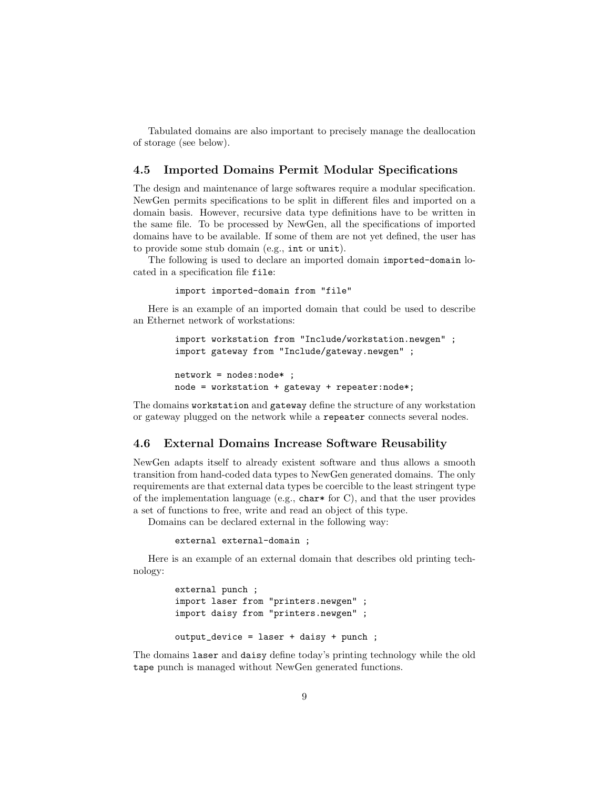Tabulated domains are also important to precisely manage the deallocation of storage (see below).

## <span id="page-8-0"></span>4.5 Imported Domains Permit Modular Specifications

The design and maintenance of large softwares require a modular specification. NewGen permits specifications to be split in different files and imported on a domain basis. However, recursive data type definitions have to be written in the same file. To be processed by NewGen, all the specifications of imported domains have to be available. If some of them are not yet defined, the user has to provide some stub domain (e.g., int or unit).

The following is used to declare an imported domain imported-domain located in a specification file file:

import imported-domain from "file"

Here is an example of an imported domain that could be used to describe an Ethernet network of workstations:

```
import workstation from "Include/workstation.newgen" ;
import gateway from "Include/gateway.newgen" ;
```

```
network = nodes:node* ;
node = workstation + gateway + repeater:node*;
```
The domains workstation and gateway define the structure of any workstation or gateway plugged on the network while a repeater connects several nodes.

## 4.6 External Domains Increase Software Reusability

NewGen adapts itself to already existent software and thus allows a smooth transition from hand-coded data types to NewGen generated domains. The only requirements are that external data types be coercible to the least stringent type of the implementation language (e.g., char\* for C), and that the user provides a set of functions to free, write and read an object of this type.

Domains can be declared external in the following way:

external external-domain ;

Here is an example of an external domain that describes old printing technology:

```
external punch ;
import laser from "printers.newgen" ;
import daisy from "printers.newgen" ;
output_device = laser + daisy + punch ;
```
The domains laser and daisy define today's printing technology while the old tape punch is managed without NewGen generated functions.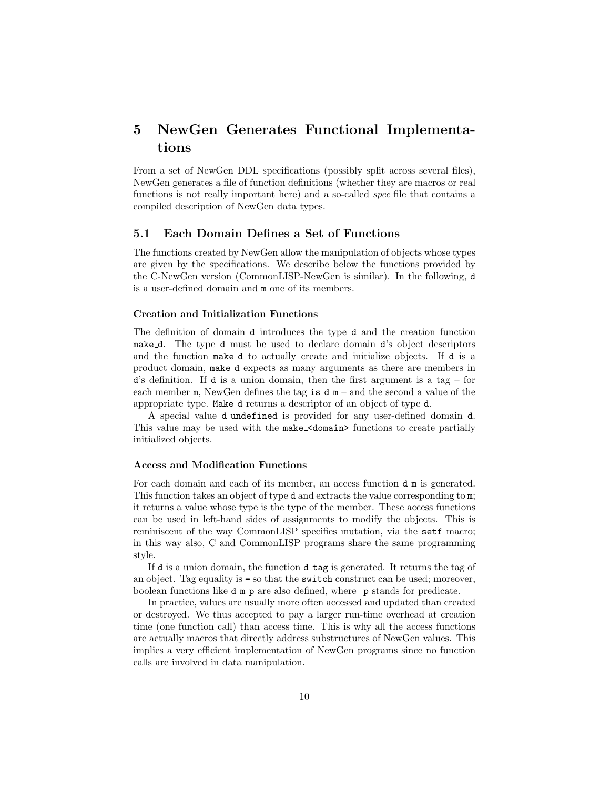## 5 NewGen Generates Functional Implementations

From a set of NewGen DDL specifications (possibly split across several files), NewGen generates a file of function definitions (whether they are macros or real functions is not really important here) and a so-called spec file that contains a compiled description of NewGen data types.

#### 5.1 Each Domain Defines a Set of Functions

The functions created by NewGen allow the manipulation of objects whose types are given by the specifications. We describe below the functions provided by the C-NewGen version (CommonLISP-NewGen is similar). In the following, d is a user-defined domain and m one of its members.

#### Creation and Initialization Functions

The definition of domain d introduces the type d and the creation function make d. The type d must be used to declare domain d's object descriptors and the function make d to actually create and initialize objects. If d is a product domain, make d expects as many arguments as there are members in d's definition. If d is a union domain, then the first argument is a tag – for each member  $m$ , NewGen defines the tag is  $d_m -$  and the second a value of the appropriate type. Make d returns a descriptor of an object of type d.

A special value d undefined is provided for any user-defined domain d. This value may be used with the make\_<domain> functions to create partially initialized objects.

#### Access and Modification Functions

For each domain and each of its member, an access function  $d_m$  is generated. This function takes an object of type d and extracts the value corresponding to m; it returns a value whose type is the type of the member. These access functions can be used in left-hand sides of assignments to modify the objects. This is reminiscent of the way CommonLISP specifies mutation, via the setf macro; in this way also, C and CommonLISP programs share the same programming style.

If d is a union domain, the function  $d$ -tag is generated. It returns the tag of an object. Tag equality is = so that the switch construct can be used; moreover, boolean functions like  $d_m$  p are also defined, where  $\Box p$  stands for predicate.

In practice, values are usually more often accessed and updated than created or destroyed. We thus accepted to pay a larger run-time overhead at creation time (one function call) than access time. This is why all the access functions are actually macros that directly address substructures of NewGen values. This implies a very efficient implementation of NewGen programs since no function calls are involved in data manipulation.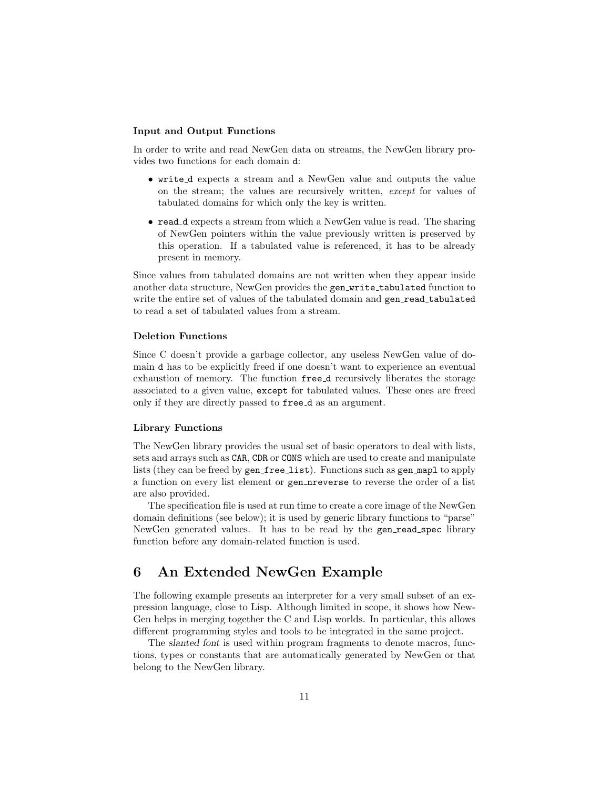### Input and Output Functions

In order to write and read NewGen data on streams, the NewGen library provides two functions for each domain d:

- write d expects a stream and a NewGen value and outputs the value on the stream; the values are recursively written, except for values of tabulated domains for which only the key is written.
- read d expects a stream from which a NewGen value is read. The sharing of NewGen pointers within the value previously written is preserved by this operation. If a tabulated value is referenced, it has to be already present in memory.

Since values from tabulated domains are not written when they appear inside another data structure, NewGen provides the gen write tabulated function to write the entire set of values of the tabulated domain and gen\_read\_tabulated to read a set of tabulated values from a stream.

#### Deletion Functions

Since C doesn't provide a garbage collector, any useless NewGen value of domain d has to be explicitly freed if one doesn't want to experience an eventual exhaustion of memory. The function free d recursively liberates the storage associated to a given value, except for tabulated values. These ones are freed only if they are directly passed to free d as an argument.

### Library Functions

The NewGen library provides the usual set of basic operators to deal with lists, sets and arrays such as CAR, CDR or CONS which are used to create and manipulate lists (they can be freed by gen free list). Functions such as gen mapl to apply a function on every list element or gen nreverse to reverse the order of a list are also provided.

The specification file is used at run time to create a core image of the NewGen domain definitions (see below); it is used by generic library functions to "parse" NewGen generated values. It has to be read by the gen read spec library function before any domain-related function is used.

## 6 An Extended NewGen Example

The following example presents an interpreter for a very small subset of an expression language, close to Lisp. Although limited in scope, it shows how New-Gen helps in merging together the C and Lisp worlds. In particular, this allows different programming styles and tools to be integrated in the same project.

The slanted font is used within program fragments to denote macros, functions, types or constants that are automatically generated by NewGen or that belong to the NewGen library.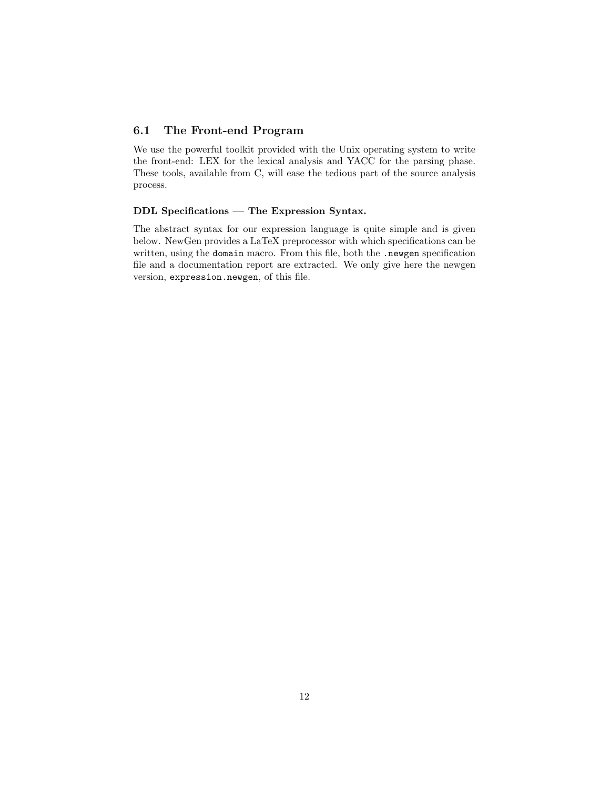## 6.1 The Front-end Program

We use the powerful toolkit provided with the Unix operating system to write the front-end: LEX for the lexical analysis and YACC for the parsing phase. These tools, available from C, will ease the tedious part of the source analysis process.

### DDL Specifications — The Expression Syntax.

The abstract syntax for our expression language is quite simple and is given below. NewGen provides a LaTeX preprocessor with which specifications can be written, using the domain macro. From this file, both the .newgen specification file and a documentation report are extracted. We only give here the newgen version, expression.newgen, of this file.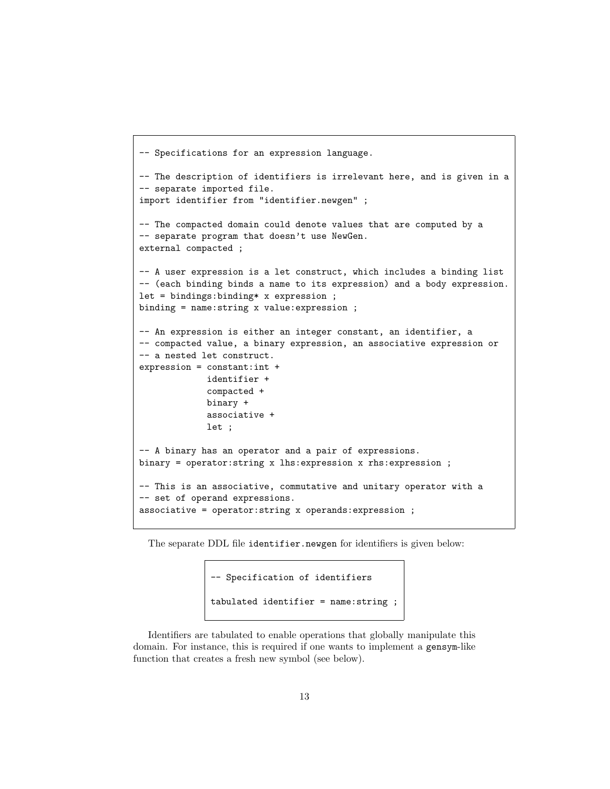```
-- Specifications for an expression language.
-- The description of identifiers is irrelevant here, and is given in a
-- separate imported file.
import identifier from "identifier.newgen" ;
-- The compacted domain could denote values that are computed by a
-- separate program that doesn't use NewGen.
external compacted ;
-- A user expression is a let construct, which includes a binding list
-- (each binding binds a name to its expression) and a body expression.
let = bindings:binding* x expression ;
binding = name:string x value:expression ;
-- An expression is either an integer constant, an identifier, a
-- compacted value, a binary expression, an associative expression or
-- a nested let construct.
expression = constant:int +
             identifier +
             compacted +
             binary +
             associative +
             let ;
-- A binary has an operator and a pair of expressions.
binary = operator:string x lhs:expression x rhs:expression ;
-- This is an associative, commutative and unitary operator with a
-- set of operand expressions.
associative = operator:string x operands:expression ;
```
The separate DDL file identifier.newgen for identifiers is given below:

```
-- Specification of identifiers
tabulated identifier = name:string ;
```
Identifiers are tabulated to enable operations that globally manipulate this domain. For instance, this is required if one wants to implement a gensym-like function that creates a fresh new symbol (see below).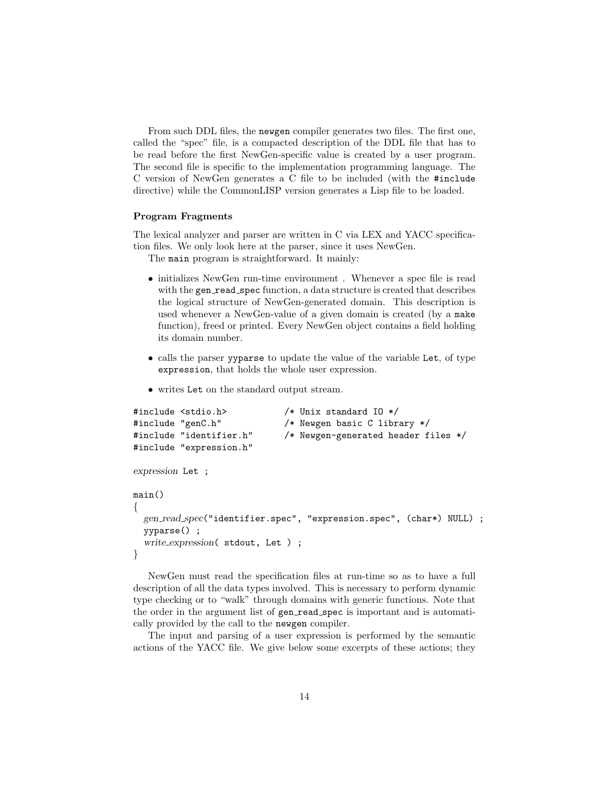From such DDL files, the newgen compiler generates two files. The first one, called the "spec" file, is a compacted description of the DDL file that has to be read before the first NewGen-specific value is created by a user program. The second file is specific to the implementation programming language. The C version of NewGen generates a C file to be included (with the #include directive) while the CommonLISP version generates a Lisp file to be loaded.

#### Program Fragments

The lexical analyzer and parser are written in C via LEX and YACC specification files. We only look here at the parser, since it uses NewGen.

The main program is straightforward. It mainly:

- initializes NewGen run-time environment . Whenever a spec file is read with the gen\_read\_spec function, a data structure is created that describes the logical structure of NewGen-generated domain. This description is used whenever a NewGen-value of a given domain is created (by a make function), freed or printed. Every NewGen object contains a field holding its domain number.
- calls the parser yyparse to update the value of the variable Let, of type expression, that holds the whole user expression.
- writes Let on the standard output stream.

```
#include <stdio.h> /* Unix standard IO */
#include "genC.h" /* Newgen basic C library */
#include "identifier.h" /* Newgen-generated header files */
#include "expression.h"
expression Let ;
main()
{
 gen_read_spec("identifier.spec", "expression.spec", (char*) NULL) ;
 yyparse() ;
  write expression( stdout, Let ) ;
}
```
NewGen must read the specification files at run-time so as to have a full description of all the data types involved. This is necessary to perform dynamic type checking or to "walk" through domains with generic functions. Note that the order in the argument list of gen read spec is important and is automatically provided by the call to the newgen compiler.

The input and parsing of a user expression is performed by the semantic actions of the YACC file. We give below some excerpts of these actions; they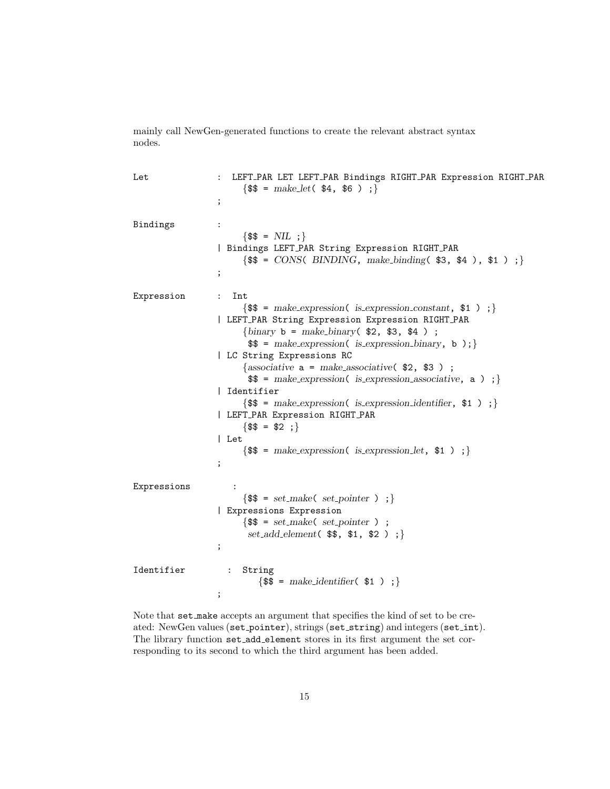mainly call NewGen-generated functions to create the relevant abstract syntax nodes.

Let : LEFT\_PAR LET LEFT\_PAR Bindings RIGHT\_PAR Expression RIGHT\_PAR  $\{\$\$ = make\_let(\$\$4, \$6)$ ; ; Bindings :  $\{\$$  = NIL ; } | Bindings LEFT PAR String Expression RIGHT PAR  $\{\$  =  $CONS( BINDIR, make-binding($  \$3, \$4), \$1); ; Expression : Int  $\{\$  = make\_expression( is\_expression\_constant,  $\$ 1); | LEFT PAR String Expression Expression RIGHT PAR {binary  $b = make\_binary($ \$2, \$3, \$4 ) ;  $\$  = make expression( is expression binary, b ); } | LC String Expressions RC {associative  $a = make_$ associative(\$2,\$3);  $\$  = make\_expression( is\_expression\_associative, a ) ; } | Identifier  $\{\$  = make\_expression( is\_expression\_identifier,  $\$ 1); } | LEFT PAR Expression RIGHT PAR  ${ $$  \$  $$ = $2 ;}$ | Let  $\{\$  = make\_expression( is\_expression\_let,  $\$ 1); } ; Expressions :  $\{\$  = set\_make( set\_pointer ) ; } | Expressions Expression  $\{\$  =  $set\_make( set\_ pointer )$ ; set\_add\_element( $\$ \$,  $\$ 1,  $\$ 2); } ; Identifier : String  $\{\$  = make\_identifier( $\$ 1); ;

Note that set make accepts an argument that specifies the kind of set to be created: NewGen values (set pointer), strings (set string) and integers (set int). The library function set add element stores in its first argument the set corresponding to its second to which the third argument has been added.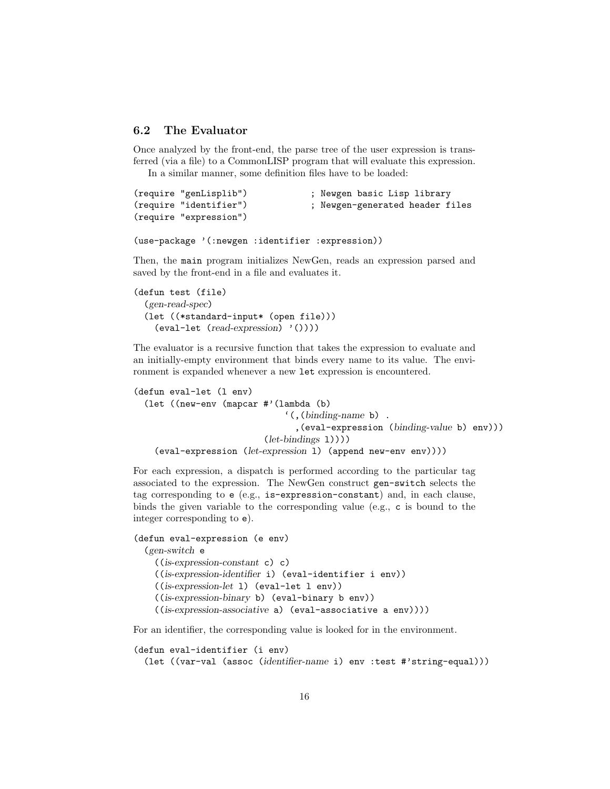## 6.2 The Evaluator

Once analyzed by the front-end, the parse tree of the user expression is transferred (via a file) to a CommonLISP program that will evaluate this expression. In a similar manner, some definition files have to be loaded:

```
(require "genLisplib") ; Newgen basic Lisp library
(require "identifier") ; Newgen-generated header files
(require "expression")
```

```
(use-package '(:newgen :identifier :expression))
```
Then, the main program initializes NewGen, reads an expression parsed and saved by the front-end in a file and evaluates it.

```
(defun test (file)
  (gen-read-spec)
  (let ((*standard-input* (open file)))
    (eval-let (read-expression) '())))
```
The evaluator is a recursive function that takes the expression to evaluate and an initially-empty environment that binds every name to its value. The environment is expanded whenever a new let expression is encountered.

```
(defun eval-let (l env)
  (let ((new-env (mapcar #'(lambda (b)
                                '(,(binding-name b) .
                                  ,(eval-expression (binding-value b) env)))
                           (left\text{-}bindings\ 1))))(eval-expression (let-expression l) (append new-env env))))
```
For each expression, a dispatch is performed according to the particular tag associated to the expression. The NewGen construct gen-switch selects the tag corresponding to e (e.g., is-expression-constant) and, in each clause, binds the given variable to the corresponding value (e.g., c is bound to the integer corresponding to e).

```
(defun eval-expression (e env)
  (gen-switch e
    ((is-expression-constant c) c)
    ((is-expression-identifier i) (eval-identifier i env))
    ((is-expression-let l) (eval-let l env))
    ((is-expression-binary b) (eval-binary b env))
    ((is-expression-associative a) (eval-associative a env))))
```
For an identifier, the corresponding value is looked for in the environment.

```
(defun eval-identifier (i env)
  (let ((var-val (assoc (identifier-name i) env :test #'string-equal)))
```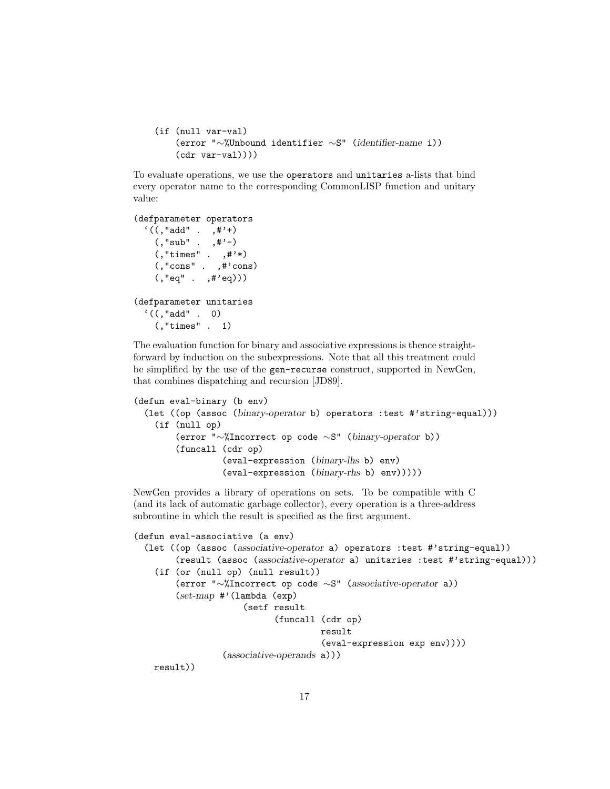```
(if (null var-val)
    (error "∼%Unbound identifier ∼S" (identifier-name i))
    (cdr \ var-val))))
```
To evaluate operations, we use the operators and unitaries a-lists that bind every operator name to the corresponding CommonLISP function and unitary value:

```
(defparameter operators
  '((, "add" . , #'+)(, "sub" . ,#'-)
   (,"times" . ,#'*)
   (,"cons" . ,#'cons)
    (,"eq" . ,#'eq)))
(defparameter unitaries
  '((, "add" . 0)(,"times" . 1)
```
The evaluation function for binary and associative expressions is thence straightforward by induction on the subexpressions. Note that all this treatment could be simplified by the use of the gen-recurse construct, supported in NewGen, that combines dispatching and recursion [JD89].

```
(defun eval-binary (b env)
  (let ((op (assoc (binary-operator b) operators :test #'string-equal)))
    (if (null op)
        (error "∼%Incorrect op code ∼S" (binary-operator b))
        (funcall (cdr op)
                 (eval-expression (binary-lhs b) env)
                 (eval-expression (binary-rhs b) env)))))
```
NewGen provides a library of operations on sets. To be compatible with C (and its lack of automatic garbage collector), every operation is a three-address subroutine in which the result is specified as the first argument.

```
(defun eval-associative (a env)
  (let ((op (assoc (associative-operator a) operators :test #'string-equal))
        (result (assoc (associative-operator a) unitaries :test #'string-equal)))
    (if (or (null op) (null result))
        (error "∼%Incorrect op code ∼S" (associative-operator a))
        (set-map #'(lambda (exp)
                      (setf result
                            (funcall (cdr op)
                                     result
                                      (eval-expression exp env))))
                  (associative-operands a)))
   result))
```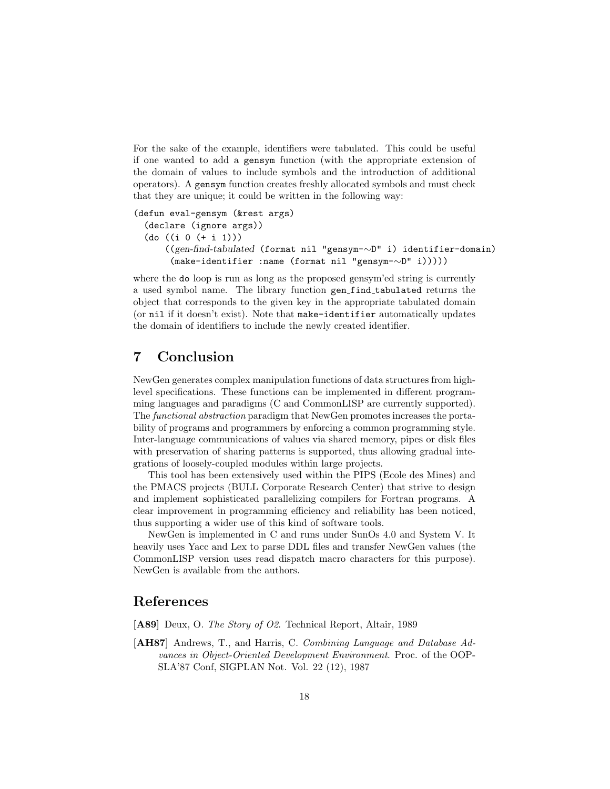For the sake of the example, identifiers were tabulated. This could be useful if one wanted to add a gensym function (with the appropriate extension of the domain of values to include symbols and the introduction of additional operators). A gensym function creates freshly allocated symbols and must check that they are unique; it could be written in the following way:

```
(defun eval-gensym (&rest args)
  (declare (ignore args))
  (do ((i 0 (+ i 1)))
      ((gen-find-tabulated (format nil "gensym-∼D" i) identifier-domain)
       (make-identifier :name (format nil "gensym-∼D" i)))))
```
where the do loop is run as long as the proposed gensym'ed string is currently a used symbol name. The library function gen find tabulated returns the object that corresponds to the given key in the appropriate tabulated domain (or nil if it doesn't exist). Note that make-identifier automatically updates the domain of identifiers to include the newly created identifier.

## 7 Conclusion

NewGen generates complex manipulation functions of data structures from highlevel specifications. These functions can be implemented in different programming languages and paradigms (C and CommonLISP are currently supported). The functional abstraction paradigm that NewGen promotes increases the portability of programs and programmers by enforcing a common programming style. Inter-language communications of values via shared memory, pipes or disk files with preservation of sharing patterns is supported, thus allowing gradual integrations of loosely-coupled modules within large projects.

This tool has been extensively used within the PIPS (Ecole des Mines) and the PMACS projects (BULL Corporate Research Center) that strive to design and implement sophisticated parallelizing compilers for Fortran programs. A clear improvement in programming efficiency and reliability has been noticed, thus supporting a wider use of this kind of software tools.

NewGen is implemented in C and runs under SunOs 4.0 and System V. It heavily uses Yacc and Lex to parse DDL files and transfer NewGen values (the CommonLISP version uses read dispatch macro characters for this purpose). NewGen is available from the authors.

## References

[A89] Deux, O. The Story of O2. Technical Report, Altair, 1989

[AH87] Andrews, T., and Harris, C. Combining Language and Database Advances in Object-Oriented Development Environment. Proc. of the OOP-SLA'87 Conf, SIGPLAN Not. Vol. 22 (12), 1987